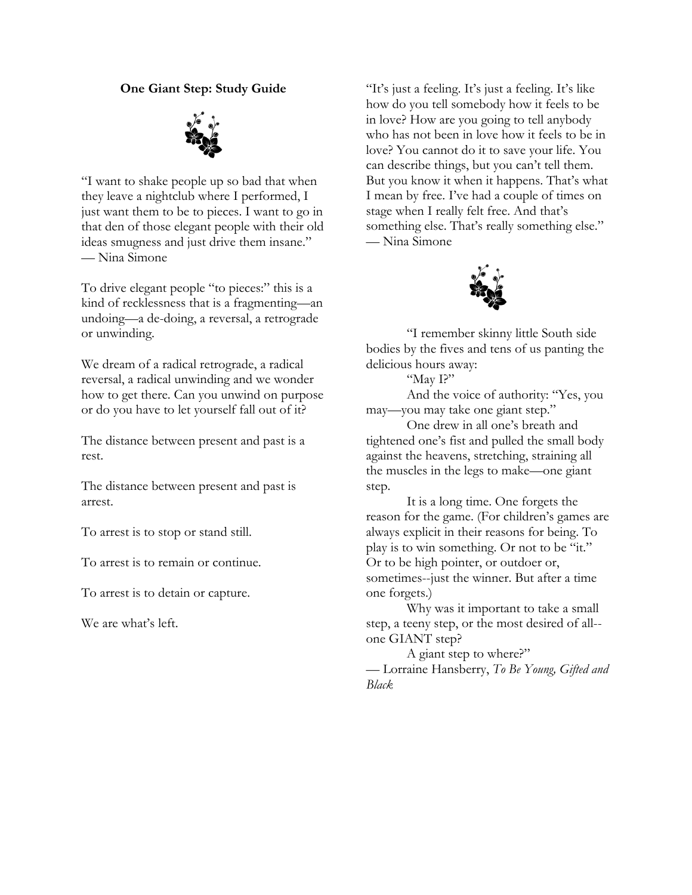## **One Giant Step: Study Guide**



"I want to shake people up so bad that when they leave a nightclub where I performed, I just want them to be to pieces. I want to go in that den of those elegant people with their old ideas smugness and just drive them insane." — Nina Simone

To drive elegant people "to pieces:" this is a kind of recklessness that is a fragmenting—an undoing—a de-doing, a reversal, a retrograde or unwinding.

We dream of a radical retrograde, a radical reversal, a radical unwinding and we wonder how to get there. Can you unwind on purpose or do you have to let yourself fall out of it?

The distance between present and past is a rest.

The distance between present and past is arrest.

To arrest is to stop or stand still.

To arrest is to remain or continue.

To arrest is to detain or capture.

We are what's left.

"It's just a feeling. It's just a feeling. It's like how do you tell somebody how it feels to be in love? How are you going to tell anybody who has not been in love how it feels to be in love? You cannot do it to save your life. You can describe things, but you can't tell them. But you know it when it happens. That's what I mean by free. I've had a couple of times on stage when I really felt free. And that's something else. That's really something else." — Nina Simone



"I remember skinny little South side bodies by the fives and tens of us panting the delicious hours away:

"May I?"

And the voice of authority: "Yes, you may—you may take one giant step."

One drew in all one's breath and tightened one's fist and pulled the small body against the heavens, stretching, straining all the muscles in the legs to make—one giant step.

It is a long time. One forgets the reason for the game. (For children's games are always explicit in their reasons for being. To play is to win something. Or not to be "it." Or to be high pointer, or outdoer or, sometimes--just the winner. But after a time one forgets.)

Why was it important to take a small step, a teeny step, or the most desired of all- one GIANT step?

A giant step to where?" — Lorraine Hansberry, *To Be Young, Gifted and Black*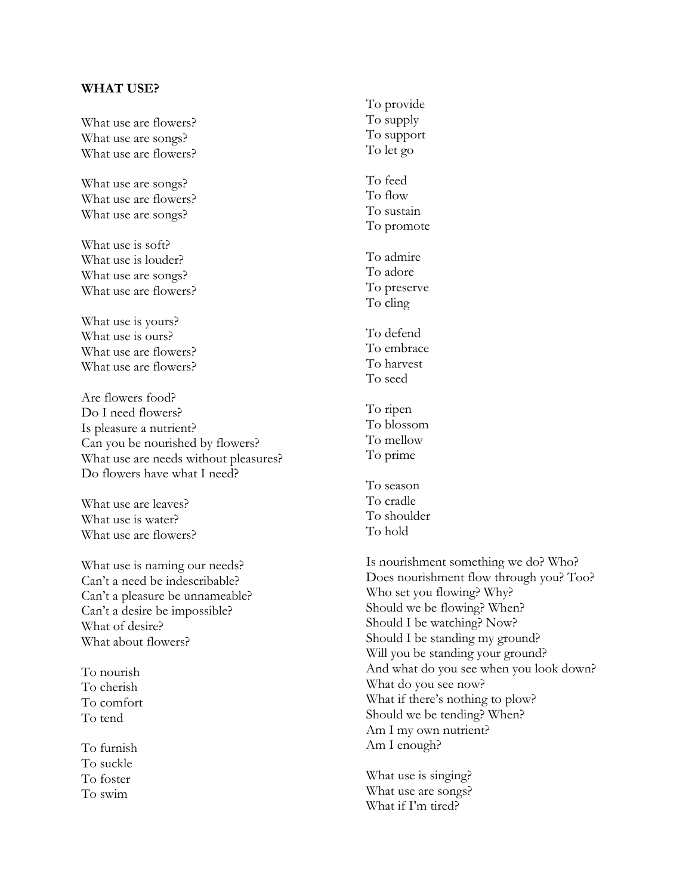## **WHAT USE?**

What use are flowers? What use are songs? What use are flowers?

What use are songs? What use are flowers? What use are songs?

What use is soft? What use is louder? What use are songs? What use are flowers?

What use is yours? What use is ours? What use are flowers? What use are flowers?

Are flowers food? Do I need flowers? Is pleasure a nutrient? Can you be nourished by flowers? What use are needs without pleasures? Do flowers have what I need?

What use are leaves? What use is water? What use are flowers?

What use is naming our needs? Can't a need be indescribable? Can't a pleasure be unnameable? Can't a desire be impossible? What of desire? What about flowers?

To nourish To cherish To comfort To tend

To furnish To suckle To foster To swim

To provide To supply To support To let go To feed To flow To sustain To promote To admire To adore To preserve To cling To defend To embrace To harvest To seed To ripen To blossom To mellow To prime To season To cradle To shoulder To hold Is nourishment something we do? Who?

Does nourishment flow through you? Too? Who set you flowing? Why? Should we be flowing? When? Should I be watching? Now? Should I be standing my ground? Will you be standing your ground? And what do you see when you look down? What do you see now? What if there's nothing to plow? Should we be tending? When? Am I my own nutrient? Am I enough?

What use is singing? What use are songs? What if I'm tired?